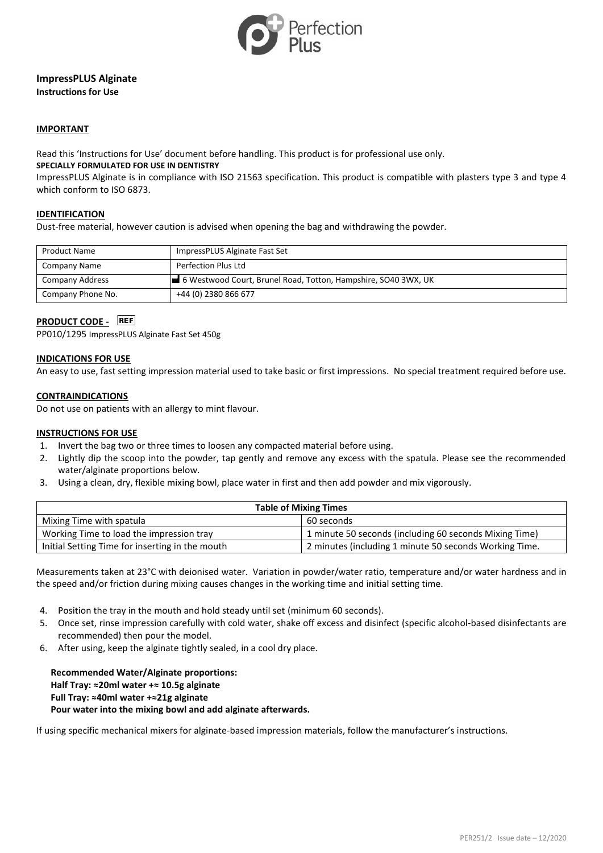

### **ImpressPLUS Alginate Instructions for Use**

### **IMPORTANT**

Read this 'Instructions for Use' document before handling. This product is for professional use only.

# **SPECIALLY FORMULATED FOR USE IN DENTISTRY**

ImpressPLUS Alginate is in compliance with ISO 21563 specification. This product is compatible with plasters type 3 and type 4 which conform to ISO 6873.

### **IDENTIFICATION**

Dust-free material, however caution is advised when opening the bag and withdrawing the powder.

| <b>Product Name</b> | ImpressPLUS Alginate Fast Set                                  |
|---------------------|----------------------------------------------------------------|
| Company Name        | Perfection Plus Ltd                                            |
| Company Address     | 6 Westwood Court, Brunel Road, Totton, Hampshire, SO40 3WX, UK |
| Company Phone No.   | +44 (0) 2380 866 677                                           |

# **PRODUCT CODE - REF**

PP010/1295 ImpressPLUS Alginate Fast Set 450g

### **INDICATIONS FOR USE**

An easy to use, fast setting impression material used to take basic or first impressions. No special treatment required before use.

### **CONTRAINDICATIONS**

Do not use on patients with an allergy to mint flavour.

#### **INSTRUCTIONS FOR USE**

- 1. Invert the bag two or three times to loosen any compacted material before using.
- 2. Lightly dip the scoop into the powder, tap gently and remove any excess with the spatula. Please see the recommended water/alginate proportions below.
- 3. Using a clean, dry, flexible mixing bowl, place water in first and then add powder and mix vigorously.

| <b>Table of Mixing Times</b>                    |                                                        |  |
|-------------------------------------------------|--------------------------------------------------------|--|
| Mixing Time with spatula                        | 60 seconds                                             |  |
| Working Time to load the impression tray        | 1 minute 50 seconds (including 60 seconds Mixing Time) |  |
| Initial Setting Time for inserting in the mouth | 2 minutes (including 1 minute 50 seconds Working Time. |  |

Measurements taken at 23°C with deionised water. Variation in powder/water ratio, temperature and/or water hardness and in the speed and/or friction during mixing causes changes in the working time and initial setting time.

- 4. Position the tray in the mouth and hold steady until set (minimum 60 seconds).
- 5. Once set, rinse impression carefully with cold water, shake off excess and disinfect (specific alcohol-based disinfectants are recommended) then pour the model.
- 6. After using, keep the alginate tightly sealed, in a cool dry place.

**Recommended Water/Alginate proportions: Half Tray: ≈20ml water +≈ 10.5g alginate Full Tray: ≈40ml water +≈21g alginate Pour water into the mixing bowl and add alginate afterwards.**

If using specific mechanical mixers for alginate-based impression materials, follow the manufacturer's instructions.